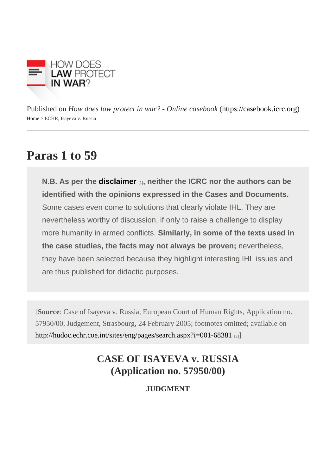Published on How does law protect in war? - Online caseboot in caseb[ook](https://casebook.icrc.org).icrc.org Home> ECHR, Isayeva v. Russia

# Paras 1 to 59

N.B. As per the [disclaimer](https://casebook.icrc.org/disclaimer-and-copyright)  $_{[1]}$ , neither the ICRC nor the authors can be identified with the opinions expressed in the Cases and Documents. Some cases even come to solutions that clearly violate IHL. They are nevertheless worthy of discussion, if only to raise a challenge to display more humanity in armed conflicts. Similarly, in some of the texts used in the case studies, the facts may not always be proven; nevertheless, they have been selected because they highlight interesting IHL issues and are thus published for didactic purposes.

[Source: Case of Isayeva v. Russia, European Court of Human Rights, Application no. 57950/00, Judgement, Strasbourg, 24 February 2005; footnotes omitted; available on [http://hudoc.echr.coe.int/sites/eng/pages/search.aspx?i=001-](http://hudoc.echr.coe.int/sites/eng/pages/search.aspx?i=001-68381)68381

## CASE OF ISAYEVA v. RUSSIA (Application no. 57950/00)

JUDGMENT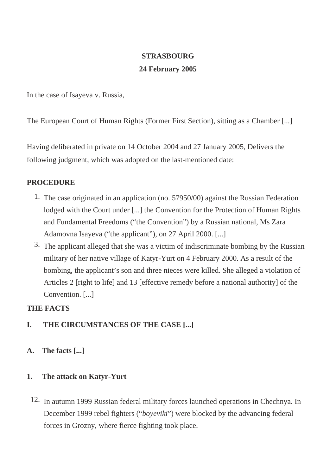## **STRASBOURG**

## **24 February 2005**

In the case of Isayeva v. Russia,

The European Court of Human Rights (Former First Section), sitting as a Chamber [...]

Having deliberated in private on 14 October 2004 and 27 January 2005, Delivers the following judgment, which was adopted on the last-mentioned date:

## **PROCEDURE**

- 1. The case originated in an application (no. 57950/00) against the Russian Federation lodged with the Court under [...] the Convention for the Protection of Human Rights and Fundamental Freedoms ("the Convention") by a Russian national, Ms Zara Adamovna Isayeva ("the applicant"), on 27 April 2000. [...]
- $3.$  The applicant alleged that she was a victim of indiscriminate bombing by the Russian military of her native village of Katyr-Yurt on 4 February 2000. As a result of the bombing, the applicant's son and three nieces were killed. She alleged a violation of Articles 2 [right to life] and 13 [effective remedy before a national authority] of the Convention. [...]

## **THE FACTS**

- **I. THE CIRCUMSTANCES OF THE CASE [...]**
- **A. The facts [...]**

## **1. The attack on Katyr-Yurt**

12. In autumn 1999 Russian federal military forces launched operations in Chechnya. In December 1999 rebel fighters ("*boyeviki*") were blocked by the advancing federal forces in Grozny, where fierce fighting took place.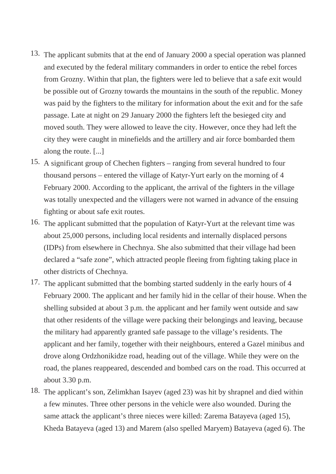- 13. The applicant submits that at the end of January 2000 a special operation was planned and executed by the federal military commanders in order to entice the rebel forces from Grozny. Within that plan, the fighters were led to believe that a safe exit would be possible out of Grozny towards the mountains in the south of the republic. Money was paid by the fighters to the military for information about the exit and for the safe passage. Late at night on 29 January 2000 the fighters left the besieged city and moved south. They were allowed to leave the city. However, once they had left the city they were caught in minefields and the artillery and air force bombarded them along the route. [...]
- 15. A significant group of Chechen fighters ranging from several hundred to four thousand persons – entered the village of Katyr-Yurt early on the morning of 4 February 2000. According to the applicant, the arrival of the fighters in the village was totally unexpected and the villagers were not warned in advance of the ensuing fighting or about safe exit routes.
- 16. The applicant submitted that the population of Katyr-Yurt at the relevant time was about 25,000 persons, including local residents and internally displaced persons (IDPs) from elsewhere in Chechnya. She also submitted that their village had been declared a "safe zone", which attracted people fleeing from fighting taking place in other districts of Chechnya.
- 17. The applicant submitted that the bombing started suddenly in the early hours of 4 February 2000. The applicant and her family hid in the cellar of their house. When the shelling subsided at about 3 p.m. the applicant and her family went outside and saw that other residents of the village were packing their belongings and leaving, because the military had apparently granted safe passage to the village's residents. The applicant and her family, together with their neighbours, entered a Gazel minibus and drove along Ordzhonikidze road, heading out of the village. While they were on the road, the planes reappeared, descended and bombed cars on the road. This occurred at about 3.30 p.m.
- 18. The applicant's son, Zelimkhan Isayev (aged 23) was hit by shrapnel and died within a few minutes. Three other persons in the vehicle were also wounded. During the same attack the applicant's three nieces were killed: Zarema Batayeva (aged 15), Kheda Batayeva (aged 13) and Marem (also spelled Maryem) Batayeva (aged 6). The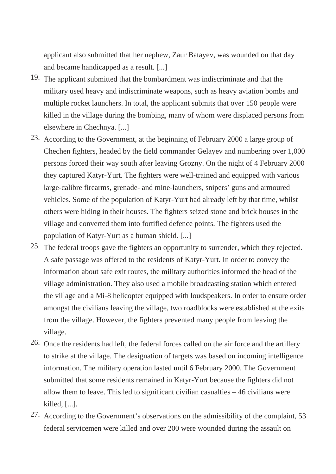applicant also submitted that her nephew, Zaur Batayev, was wounded on that day and became handicapped as a result. [...]

- 19. The applicant submitted that the bombardment was indiscriminate and that the military used heavy and indiscriminate weapons, such as heavy aviation bombs and multiple rocket launchers. In total, the applicant submits that over 150 people were killed in the village during the bombing, many of whom were displaced persons from elsewhere in Chechnya. [...]
- 23. According to the Government, at the beginning of February 2000 a large group of Chechen fighters, headed by the field commander Gelayev and numbering over 1,000 persons forced their way south after leaving Grozny. On the night of 4 February 2000 they captured Katyr-Yurt. The fighters were well-trained and equipped with various large-calibre firearms, grenade- and mine-launchers, snipers' guns and armoured vehicles. Some of the population of Katyr-Yurt had already left by that time, whilst others were hiding in their houses. The fighters seized stone and brick houses in the village and converted them into fortified defence points. The fighters used the population of Katyr-Yurt as a human shield. [...]
- 25. The federal troops gave the fighters an opportunity to surrender, which they rejected. A safe passage was offered to the residents of Katyr-Yurt. In order to convey the information about safe exit routes, the military authorities informed the head of the village administration. They also used a mobile broadcasting station which entered the village and a Mi-8 helicopter equipped with loudspeakers. In order to ensure order amongst the civilians leaving the village, two roadblocks were established at the exits from the village. However, the fighters prevented many people from leaving the village.
- 26. Once the residents had left, the federal forces called on the air force and the artillery to strike at the village. The designation of targets was based on incoming intelligence information. The military operation lasted until 6 February 2000. The Government submitted that some residents remained in Katyr-Yurt because the fighters did not allow them to leave. This led to significant civilian casualties – 46 civilians were killed, [...].
- 27. According to the Government's observations on the admissibility of the complaint, 53 federal servicemen were killed and over 200 were wounded during the assault on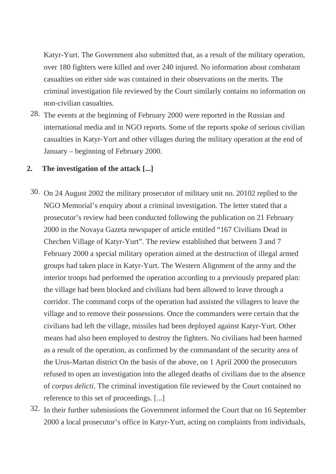Katyr-Yurt. The Government also submitted that, as a result of the military operation, over 180 fighters were killed and over 240 injured. No information about combatant casualties on either side was contained in their observations on the merits. The criminal investigation file reviewed by the Court similarly contains no information on non-civilian casualties.

28. The events at the beginning of February 2000 were reported in the Russian and international media and in NGO reports. Some of the reports spoke of serious civilian casualties in Katyr-Yurt and other villages during the military operation at the end of January – beginning of February 2000.

## **2. The investigation of the attack [...]**

- 30. On 24 August 2002 the military prosecutor of military unit no. 20102 replied to the NGO Memorial's enquiry about a criminal investigation. The letter stated that a prosecutor's review had been conducted following the publication on 21 February 2000 in the Novaya Gazeta newspaper of article entitled "167 Civilians Dead in Chechen Village of Katyr-Yurt". The review established that between 3 and 7 February 2000 a special military operation aimed at the destruction of illegal armed groups had taken place in Katyr-Yurt. The Western Alignment of the army and the interior troops had performed the operation according to a previously prepared plan: the village had been blocked and civilians had been allowed to leave through a corridor. The command corps of the operation had assisted the villagers to leave the village and to remove their possessions. Once the commanders were certain that the civilians had left the village, missiles had been deployed against Katyr-Yurt. Other means had also been employed to destroy the fighters. No civilians had been harmed as a result of the operation, as confirmed by the commandant of the security area of the Urus-Martan district On the basis of the above, on 1 April 2000 the prosecutors refused to open an investigation into the alleged deaths of civilians due to the absence of *corpus delicti*. The criminal investigation file reviewed by the Court contained no reference to this set of proceedings. [...]
- 32. In their further submissions the Government informed the Court that on 16 September 2000 a local prosecutor's office in Katyr-Yurt, acting on complaints from individuals,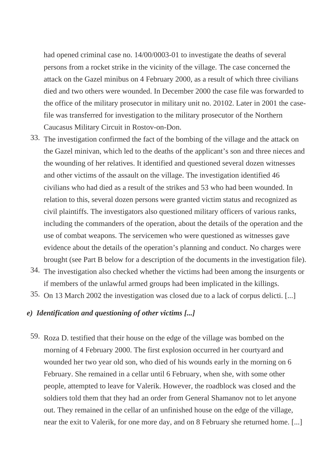had opened criminal case no. 14/00/0003-01 to investigate the deaths of several persons from a rocket strike in the vicinity of the village. The case concerned the attack on the Gazel minibus on 4 February 2000, as a result of which three civilians died and two others were wounded. In December 2000 the case file was forwarded to the office of the military prosecutor in military unit no. 20102. Later in 2001 the casefile was transferred for investigation to the military prosecutor of the Northern Caucasus Military Circuit in Rostov-on-Don.

- 33. The investigation confirmed the fact of the bombing of the village and the attack on the Gazel minivan, which led to the deaths of the applicant's son and three nieces and the wounding of her relatives. It identified and questioned several dozen witnesses and other victims of the assault on the village. The investigation identified 46 civilians who had died as a result of the strikes and 53 who had been wounded. In relation to this, several dozen persons were granted victim status and recognized as civil plaintiffs. The investigators also questioned military officers of various ranks, including the commanders of the operation, about the details of the operation and the use of combat weapons. The servicemen who were questioned as witnesses gave evidence about the details of the operation's planning and conduct. No charges were brought (see Part B below for a description of the documents in the investigation file).
- 34. The investigation also checked whether the victims had been among the insurgents or if members of the unlawful armed groups had been implicated in the killings.
- 35. On 13 March 2002 the investigation was closed due to a lack of corpus delicti. [...]

## *e) Identification and questioning of other victims [...]*

59. Roza D. testified that their house on the edge of the village was bombed on the morning of 4 February 2000. The first explosion occurred in her courtyard and wounded her two year old son, who died of his wounds early in the morning on 6 February. She remained in a cellar until 6 February, when she, with some other people, attempted to leave for Valerik. However, the roadblock was closed and the soldiers told them that they had an order from General Shamanov not to let anyone out. They remained in the cellar of an unfinished house on the edge of the village, near the exit to Valerik, for one more day, and on 8 February she returned home. [...]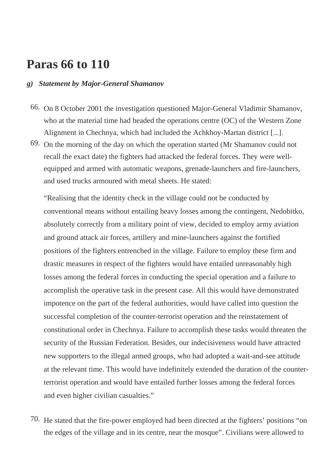## **Paras 66 to 110**

#### *g) Statement by Major-General Shamanov*

- 66. On 8 October 2001 the investigation questioned Major-General Vladimir Shamanov, who at the material time had headed the operations centre (OC) of the Western Zone Alignment in Chechnya, which had included the Achkhoy-Martan district [...].
- 69. On the morning of the day on which the operation started (Mr Shamanov could not recall the exact date) the fighters had attacked the federal forces. They were wellequipped and armed with automatic weapons, grenade-launchers and fire-launchers, and used trucks armoured with metal sheets. He stated:

"Realising that the identity check in the village could not be conducted by conventional means without entailing heavy losses among the contingent, Nedobitko, absolutely correctly from a military point of view, decided to employ army aviation and ground attack air forces, artillery and mine-launchers against the fortified positions of the fighters entrenched in the village. Failure to employ these firm and drastic measures in respect of the fighters would have entailed unreasonably high losses among the federal forces in conducting the special operation and a failure to accomplish the operative task in the present case. All this would have demonstrated impotence on the part of the federal authorities, would have called into question the successful completion of the counter-terrorist operation and the reinstatement of constitutional order in Chechnya. Failure to accomplish these tasks would threaten the security of the Russian Federation. Besides, our indecisiveness would have attracted new supporters to the illegal armed groups, who had adopted a wait-and-see attitude at the relevant time. This would have indefinitely extended the duration of the counterterrorist operation and would have entailed further losses among the federal forces and even higher civilian casualties."

70. He stated that the fire-power employed had been directed at the fighters' positions "on the edges of the village and in its centre, near the mosque". Civilians were allowed to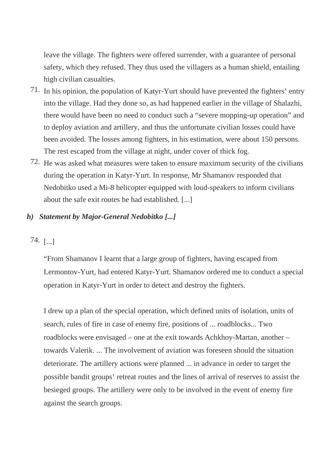leave the village. The fighters were offered surrender, with a guarantee of personal safety, which they refused. They thus used the villagers as a human shield, entailing high civilian casualties.

- 71. In his opinion, the population of Katyr-Yurt should have prevented the fighters' entry into the village. Had they done so, as had happened earlier in the village of Shalazhi, there would have been no need to conduct such a "severe mopping-up operation" and to deploy aviation and artillery, and thus the unfortunate civilian losses could have been avoided. The losses among fighters, in his estimation, were about 150 persons. The rest escaped from the village at night, under cover of thick fog.
- 72. He was asked what measures were taken to ensure maximum security of the civilians during the operation in Katyr-Yurt. In response, Mr Shamanov responded that Nedobitko used a Mi-8 helicopter equipped with loud-speakers to inform civilians about the safe exit routes he had established. [...]

## *h) Statement by Major-General Nedobitko [...]*

## 74. [...]

"From Shamanov I learnt that a large group of fighters, having escaped from Lermontov-Yurt, had entered Katyr-Yurt. Shamanov ordered me to conduct a special operation in Katyr-Yurt in order to detect and destroy the fighters.

I drew up a plan of the special operation, which defined units of isolation, units of search, rules of fire in case of enemy fire, positions of ... roadblocks... Two roadblocks were envisaged – one at the exit towards Achkhoy-Martan, another – towards Valerik. ... The involvement of aviation was foreseen should the situation deteriorate. The artillery actions were planned ... in advance in order to target the possible bandit groups' retreat routes and the lines of arrival of reserves to assist the besieged groups. The artillery were only to be involved in the event of enemy fire against the search groups.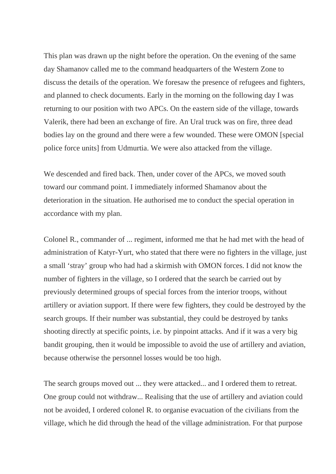This plan was drawn up the night before the operation. On the evening of the same day Shamanov called me to the command headquarters of the Western Zone to discuss the details of the operation. We foresaw the presence of refugees and fighters, and planned to check documents. Early in the morning on the following day I was returning to our position with two APCs. On the eastern side of the village, towards Valerik, there had been an exchange of fire. An Ural truck was on fire, three dead bodies lay on the ground and there were a few wounded. These were OMON [special police force units] from Udmurtia. We were also attacked from the village.

We descended and fired back. Then, under cover of the APCs, we moved south toward our command point. I immediately informed Shamanov about the deterioration in the situation. He authorised me to conduct the special operation in accordance with my plan.

Colonel R., commander of ... regiment, informed me that he had met with the head of administration of Katyr-Yurt, who stated that there were no fighters in the village, just a small 'stray' group who had had a skirmish with OMON forces. I did not know the number of fighters in the village, so I ordered that the search be carried out by previously determined groups of special forces from the interior troops, without artillery or aviation support. If there were few fighters, they could be destroyed by the search groups. If their number was substantial, they could be destroyed by tanks shooting directly at specific points, i.e. by pinpoint attacks. And if it was a very big bandit grouping, then it would be impossible to avoid the use of artillery and aviation, because otherwise the personnel losses would be too high.

The search groups moved out ... they were attacked... and I ordered them to retreat. One group could not withdraw... Realising that the use of artillery and aviation could not be avoided, I ordered colonel R. to organise evacuation of the civilians from the village, which he did through the head of the village administration. For that purpose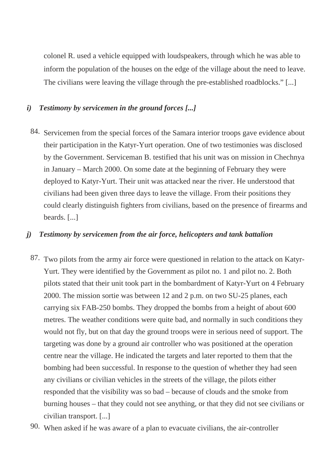colonel R. used a vehicle equipped with loudspeakers, through which he was able to inform the population of the houses on the edge of the village about the need to leave. The civilians were leaving the village through the pre-established roadblocks." [...]

### *i) Testimony by servicemen in the ground forces [...]*

84. Servicemen from the special forces of the Samara interior troops gave evidence about their participation in the Katyr-Yurt operation. One of two testimonies was disclosed by the Government. Serviceman B. testified that his unit was on mission in Chechnya in January – March 2000. On some date at the beginning of February they were deployed to Katyr-Yurt. Their unit was attacked near the river. He understood that civilians had been given three days to leave the village. From their positions they could clearly distinguish fighters from civilians, based on the presence of firearms and beards. [...]

#### *j) Testimony by servicemen from the air force, helicopters and tank battalion*

- 87. Two pilots from the army air force were questioned in relation to the attack on Katyr-Yurt. They were identified by the Government as pilot no. 1 and pilot no. 2. Both pilots stated that their unit took part in the bombardment of Katyr-Yurt on 4 February 2000. The mission sortie was between 12 and 2 p.m. on two SU-25 planes, each carrying six FAB-250 bombs. They dropped the bombs from a height of about 600 metres. The weather conditions were quite bad, and normally in such conditions they would not fly, but on that day the ground troops were in serious need of support. The targeting was done by a ground air controller who was positioned at the operation centre near the village. He indicated the targets and later reported to them that the bombing had been successful. In response to the question of whether they had seen any civilians or civilian vehicles in the streets of the village, the pilots either responded that the visibility was so bad – because of clouds and the smoke from burning houses – that they could not see anything, or that they did not see civilians or civilian transport. [...]
- 90. When asked if he was aware of a plan to evacuate civilians, the air-controller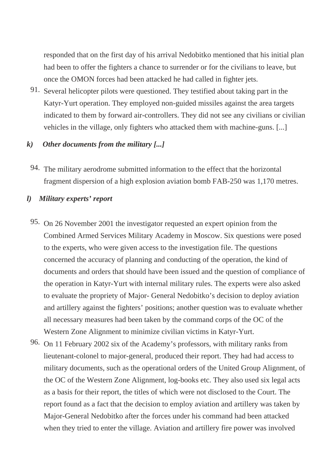responded that on the first day of his arrival Nedobitko mentioned that his initial plan had been to offer the fighters a chance to surrender or for the civilians to leave, but once the OMON forces had been attacked he had called in fighter jets.

91. Several helicopter pilots were questioned. They testified about taking part in the Katyr-Yurt operation. They employed non-guided missiles against the area targets indicated to them by forward air-controllers. They did not see any civilians or civilian vehicles in the village, only fighters who attacked them with machine-guns. [...]

#### *k) Other documents from the military [...]*

94. The military aerodrome submitted information to the effect that the horizontal fragment dispersion of a high explosion aviation bomb FAB-250 was 1,170 metres.

## *l) Military experts' report*

- 95. On 26 November 2001 the investigator requested an expert opinion from the Combined Armed Services Military Academy in Moscow. Six questions were posed to the experts, who were given access to the investigation file. The questions concerned the accuracy of planning and conducting of the operation, the kind of documents and orders that should have been issued and the question of compliance of the operation in Katyr-Yurt with internal military rules. The experts were also asked to evaluate the propriety of Major- General Nedobitko's decision to deploy aviation and artillery against the fighters' positions; another question was to evaluate whether all necessary measures had been taken by the command corps of the OC of the Western Zone Alignment to minimize civilian victims in Katyr-Yurt.
- 96. On 11 February 2002 six of the Academy's professors, with military ranks from lieutenant-colonel to major-general, produced their report. They had had access to military documents, such as the operational orders of the United Group Alignment, of the OC of the Western Zone Alignment, log-books etc. They also used six legal acts as a basis for their report, the titles of which were not disclosed to the Court. The report found as a fact that the decision to employ aviation and artillery was taken by Major-General Nedobitko after the forces under his command had been attacked when they tried to enter the village. Aviation and artillery fire power was involved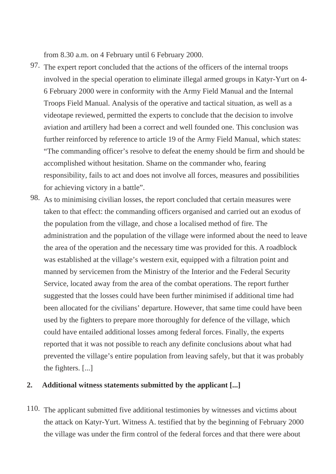from 8.30 a.m. on 4 February until 6 February 2000.

- 97. The expert report concluded that the actions of the officers of the internal troops involved in the special operation to eliminate illegal armed groups in Katyr-Yurt on 4- 6 February 2000 were in conformity with the Army Field Manual and the Internal Troops Field Manual. Analysis of the operative and tactical situation, as well as a videotape reviewed, permitted the experts to conclude that the decision to involve aviation and artillery had been a correct and well founded one. This conclusion was further reinforced by reference to article 19 of the Army Field Manual, which states: "The commanding officer's resolve to defeat the enemy should be firm and should be accomplished without hesitation. Shame on the commander who, fearing responsibility, fails to act and does not involve all forces, measures and possibilities for achieving victory in a battle".
- 98. As to minimising civilian losses, the report concluded that certain measures were taken to that effect: the commanding officers organised and carried out an exodus of the population from the village, and chose a localised method of fire. The administration and the population of the village were informed about the need to leave the area of the operation and the necessary time was provided for this. A roadblock was established at the village's western exit, equipped with a filtration point and manned by servicemen from the Ministry of the Interior and the Federal Security Service, located away from the area of the combat operations. The report further suggested that the losses could have been further minimised if additional time had been allocated for the civilians' departure. However, that same time could have been used by the fighters to prepare more thoroughly for defence of the village, which could have entailed additional losses among federal forces. Finally, the experts reported that it was not possible to reach any definite conclusions about what had prevented the village's entire population from leaving safely, but that it was probably the fighters. [...]

## **2. Additional witness statements submitted by the applicant [...]**

110. The applicant submitted five additional testimonies by witnesses and victims about the attack on Katyr-Yurt. Witness A. testified that by the beginning of February 2000 the village was under the firm control of the federal forces and that there were about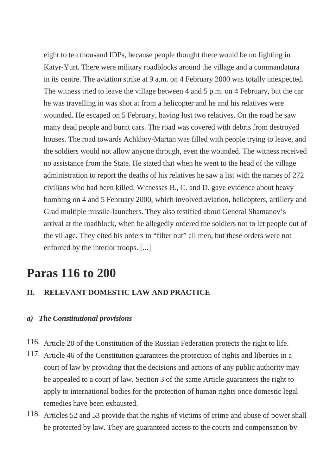eight to ten thousand IDPs, because people thought there would be no fighting in Katyr-Yurt. There were military roadblocks around the village and a commandatura in its centre. The aviation strike at 9 a.m. on 4 February 2000 was totally unexpected. The witness tried to leave the village between 4 and 5 p.m. on 4 February, but the car he was travelling in was shot at from a helicopter and he and his relatives were wounded. He escaped on 5 February, having lost two relatives. On the road he saw many dead people and burnt cars. The road was covered with debris from destroyed houses. The road towards Achkhoy-Martan was filled with people trying to leave, and the soldiers would not allow anyone through, even the wounded. The witness received no assistance from the State. He stated that when he went to the head of the village administration to report the deaths of his relatives he saw a list with the names of 272 civilians who had been killed. Witnesses B., C. and D. gave evidence about heavy bombing on 4 and 5 February 2000, which involved aviation, helicopters, artillery and Grad multiple missile-launchers. They also testified about General Shamanov's arrival at the roadblock, when he allegedly ordered the soldiers not to let people out of the village. They cited his orders to "filter out" all men, but these orders were not enforced by the interior troops. [...]

## **Paras 116 to 200**

## **II. RELEVANT DOMESTIC LAW AND PRACTICE**

### *a) The Constitutional provisions*

- 116. Article 20 of the Constitution of the Russian Federation protects the right to life.
- 117. Article 46 of the Constitution guarantees the protection of rights and liberties in a court of law by providing that the decisions and actions of any public authority may be appealed to a court of law. Section 3 of the same Article guarantees the right to apply to international bodies for the protection of human rights once domestic legal remedies have been exhausted.
- 118. Articles 52 and 53 provide that the rights of victims of crime and abuse of power shall be protected by law. They are guaranteed access to the courts and compensation by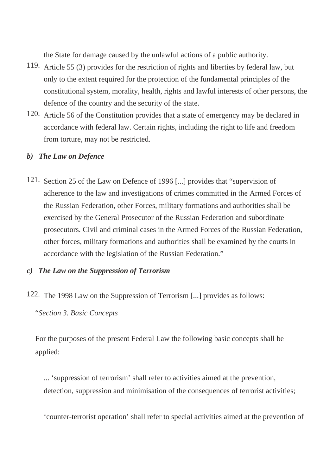the State for damage caused by the unlawful actions of a public authority.

- 119. Article 55 (3) provides for the restriction of rights and liberties by federal law, but only to the extent required for the protection of the fundamental principles of the constitutional system, morality, health, rights and lawful interests of other persons, the defence of the country and the security of the state.
- 120. Article 56 of the Constitution provides that a state of emergency may be declared in accordance with federal law. Certain rights, including the right to life and freedom from torture, may not be restricted.

## *b) The Law on Defence*

121. Section 25 of the Law on Defence of 1996 [...] provides that "supervision of adherence to the law and investigations of crimes committed in the Armed Forces of the Russian Federation, other Forces, military formations and authorities shall be exercised by the General Prosecutor of the Russian Federation and subordinate prosecutors. Civil and criminal cases in the Armed Forces of the Russian Federation, other forces, military formations and authorities shall be examined by the courts in accordance with the legislation of the Russian Federation."

#### *c) The Law on the Suppression of Terrorism*

122. The 1998 Law on the Suppression of Terrorism [...] provides as follows:

"*Section 3. Basic Concepts*

For the purposes of the present Federal Law the following basic concepts shall be applied:

... 'suppression of terrorism' shall refer to activities aimed at the prevention, detection, suppression and minimisation of the consequences of terrorist activities;

'counter-terrorist operation' shall refer to special activities aimed at the prevention of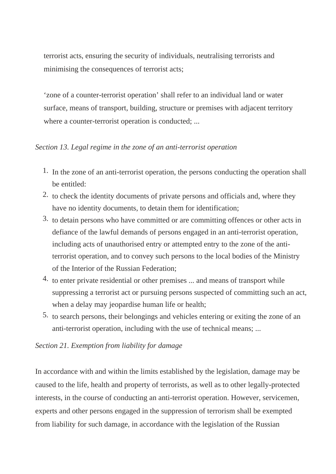terrorist acts, ensuring the security of individuals, neutralising terrorists and minimising the consequences of terrorist acts;

'zone of a counter-terrorist operation' shall refer to an individual land or water surface, means of transport, building, structure or premises with adjacent territory where a counter-terrorist operation is conducted; ...

## *Section 13. Legal regime in the zone of an anti-terrorist operation*

- 1. In the zone of an anti-terrorist operation, the persons conducting the operation shall be entitled:
- 2. to check the identity documents of private persons and officials and, where they have no identity documents, to detain them for identification;
- 3. to detain persons who have committed or are committing offences or other acts in defiance of the lawful demands of persons engaged in an anti-terrorist operation, including acts of unauthorised entry or attempted entry to the zone of the antiterrorist operation, and to convey such persons to the local bodies of the Ministry of the Interior of the Russian Federation;
- 4. to enter private residential or other premises ... and means of transport while suppressing a terrorist act or pursuing persons suspected of committing such an act, when a delay may jeopardise human life or health;
- 5. to search persons, their belongings and vehicles entering or exiting the zone of an anti-terrorist operation, including with the use of technical means; ...

#### *Section 21. Exemption from liability for damage*

In accordance with and within the limits established by the legislation, damage may be caused to the life, health and property of terrorists, as well as to other legally-protected interests, in the course of conducting an anti-terrorist operation. However, servicemen, experts and other persons engaged in the suppression of terrorism shall be exempted from liability for such damage, in accordance with the legislation of the Russian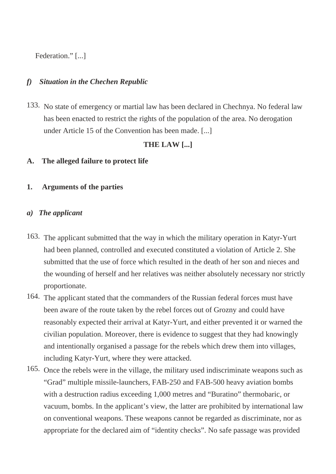Federation." [...]

### *f) Situation in the Chechen Republic*

133. No state of emergency or martial law has been declared in Chechnya. No federal law has been enacted to restrict the rights of the population of the area. No derogation under Article 15 of the Convention has been made. [...]

## **THE LAW [...]**

### **A. The alleged failure to protect life**

#### **1. Arguments of the parties**

## *a) The applicant*

- 163. The applicant submitted that the way in which the military operation in Katyr-Yurt had been planned, controlled and executed constituted a violation of Article 2. She submitted that the use of force which resulted in the death of her son and nieces and the wounding of herself and her relatives was neither absolutely necessary nor strictly proportionate.
- 164. The applicant stated that the commanders of the Russian federal forces must have been aware of the route taken by the rebel forces out of Grozny and could have reasonably expected their arrival at Katyr-Yurt, and either prevented it or warned the civilian population. Moreover, there is evidence to suggest that they had knowingly and intentionally organised a passage for the rebels which drew them into villages, including Katyr-Yurt, where they were attacked.
- 165. Once the rebels were in the village, the military used indiscriminate weapons such as "Grad" multiple missile-launchers, FAB-250 and FAB-500 heavy aviation bombs with a destruction radius exceeding 1,000 metres and "Buratino" thermobaric, or vacuum, bombs. In the applicant's view, the latter are prohibited by international law on conventional weapons. These weapons cannot be regarded as discriminate, nor as appropriate for the declared aim of "identity checks". No safe passage was provided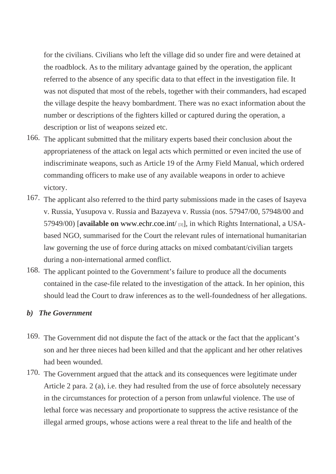for the civilians. Civilians who left the village did so under fire and were detained at the roadblock. As to the military advantage gained by the operation, the applicant referred to the absence of any specific data to that effect in the investigation file. It was not disputed that most of the rebels, together with their commanders, had escaped the village despite the heavy bombardment. There was no exact information about the number or descriptions of the fighters killed or captured during the operation, a description or list of weapons seized etc.

- 166. The applicant submitted that the military experts based their conclusion about the appropriateness of the attack on legal acts which permitted or even incited the use of indiscriminate weapons, such as Article 19 of the Army Field Manual, which ordered commanding officers to make use of any available weapons in order to achieve victory.
- 167. The applicant also referred to the third party submissions made in the cases of Isayeva v. Russia, Yusupova v. Russia and Bazayeva v. Russia (nos. 57947/00, 57948/00 and 57949/00) available on[www.echr.coe.int](http://www.echr.coe.int)<sub>[3]</sub>, in which Rights International, a USAbased NGO, summarised for the Court the relevant rules of international humanitarian law governing the use of force during attacks on mixed combatant/civilian targets during a non-international armed conflict.
- 168. The applicant pointed to the Government's failure to produce all the documents contained in the case-file related to the investigation of the attack. In her opinion, this should lead the Court to draw inferences as to the well-foundedness of her allegations.
- b) The Government
- 169. The Government did not dispute the fact of the attack or the fact that the applicant's son and her three nieces had been killed and that the applicant and her other relatives had been wounded.
- 170. The Government argued that the attack and its consequences were legitimate under Article 2 para. 2 (a), i.e. they had resulted from the use of force absolutely necessary in the circumstances for protection of a person from unlawful violence. The use of lethal force was necessary and proportionate to suppress the active resistance of the illegal armed groups, whose actions were a real threat to the life and health of the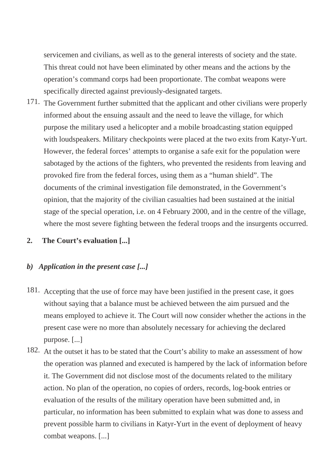servicemen and civilians, as well as to the general interests of society and the state. This threat could not have been eliminated by other means and the actions by the operation's command corps had been proportionate. The combat weapons were specifically directed against previously-designated targets.

171. The Government further submitted that the applicant and other civilians were properly informed about the ensuing assault and the need to leave the village, for which purpose the military used a helicopter and a mobile broadcasting station equipped with loudspeakers. Military checkpoints were placed at the two exits from Katyr-Yurt. However, the federal forces' attempts to organise a safe exit for the population were sabotaged by the actions of the fighters, who prevented the residents from leaving and provoked fire from the federal forces, using them as a "human shield". The documents of the criminal investigation file demonstrated, in the Government's opinion, that the majority of the civilian casualties had been sustained at the initial stage of the special operation, i.e. on 4 February 2000, and in the centre of the village, where the most severe fighting between the federal troops and the insurgents occurred.

## **2. The Court's evaluation [...]**

## *b) Application in the present case [...]*

- 181. Accepting that the use of force may have been justified in the present case, it goes without saying that a balance must be achieved between the aim pursued and the means employed to achieve it. The Court will now consider whether the actions in the present case were no more than absolutely necessary for achieving the declared purpose. [...]
- 182. At the outset it has to be stated that the Court's ability to make an assessment of how the operation was planned and executed is hampered by the lack of information before it. The Government did not disclose most of the documents related to the military action. No plan of the operation, no copies of orders, records, log-book entries or evaluation of the results of the military operation have been submitted and, in particular, no information has been submitted to explain what was done to assess and prevent possible harm to civilians in Katyr-Yurt in the event of deployment of heavy combat weapons. [...]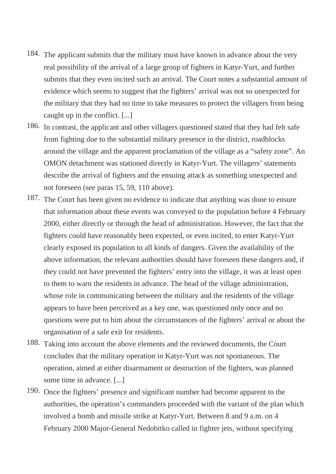- 184. The applicant submits that the military must have known in advance about the very real possibility of the arrival of a large group of fighters in Katyr-Yurt, and further submits that they even incited such an arrival. The Court notes a substantial amount of evidence which seems to suggest that the fighters' arrival was not so unexpected for the military that they had no time to take measures to protect the villagers from being caught up in the conflict. [...]
- 186. In contrast, the applicant and other villagers questioned stated that they had felt safe from fighting due to the substantial military presence in the district, roadblocks around the village and the apparent proclamation of the village as a "safety zone". An OMON detachment was stationed directly in Katyr-Yurt. The villagers' statements describe the arrival of fighters and the ensuing attack as something unexpected and not foreseen (see paras 15, 59, 110 above).
- 187. The Court has been given no evidence to indicate that anything was done to ensure that information about these events was conveyed to the population before 4 February 2000, either directly or through the head of administration. However, the fact that the fighters could have reasonably been expected, or even incited, to enter Katyr-Yurt clearly exposed its population to all kinds of dangers. Given the availability of the above information, the relevant authorities should have foreseen these dangers and, if they could not have prevented the fighters' entry into the village, it was at least open to them to warn the residents in advance. The head of the village administration, whose role in communicating between the military and the residents of the village appears to have been perceived as a key one, was questioned only once and no questions were put to him about the circumstances of the fighters' arrival or about the organisation of a safe exit for residents.
- 188. Taking into account the above elements and the reviewed documents, the Court concludes that the military operation in Katyr-Yurt was not spontaneous. The operation, aimed at either disarmament or destruction of the fighters, was planned some time in advance. [...]
- 190. Once the fighters' presence and significant number had become apparent to the authorities, the operation's commanders proceeded with the variant of the plan which involved a bomb and missile strike at Katyr-Yurt. Between 8 and 9 a.m. on 4 February 2000 Major-General Nedobitko called in fighter jets, without specifying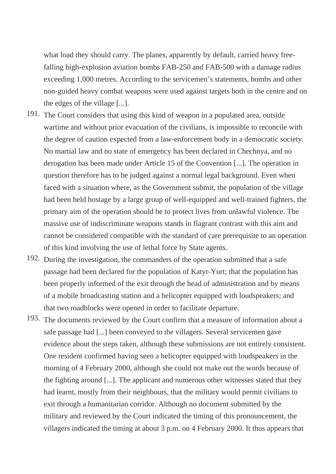what load they should carry. The planes, apparently by default, carried heavy freefalling high-explosion aviation bombs FAB-250 and FAB-500 with a damage radius exceeding 1,000 metres. According to the servicemen's statements, bombs and other non-guided heavy combat weapons were used against targets both in the centre and on the edges of the village [...].

- 191. The Court considers that using this kind of weapon in a populated area, outside wartime and without prior evacuation of the civilians, is impossible to reconcile with the degree of caution expected from a law-enforcement body in a democratic society. No martial law and no state of emergency has been declared in Chechnya, and no derogation has been made under Article 15 of the Convention [...]. The operation in question therefore has to be judged against a normal legal background. Even when faced with a situation where, as the Government submit, the population of the village had been held hostage by a large group of well-equipped and well-trained fighters, the primary aim of the operation should be to protect lives from unlawful violence. The massive use of indiscriminate weapons stands in flagrant contrast with this aim and cannot be considered compatible with the standard of care prerequisite to an operation of this kind involving the use of lethal force by State agents.
- 192. During the investigation, the commanders of the operation submitted that a safe passage had been declared for the population of Katyr-Yurt; that the population has been properly informed of the exit through the head of administration and by means of a mobile broadcasting station and a helicopter equipped with loudspeakers; and that two roadblocks were opened in order to facilitate departure.
- 193. The documents reviewed by the Court confirm that a measure of information about a safe passage had [...] been conveyed to the villagers. Several servicemen gave evidence about the steps taken, although these submissions are not entirely consistent. One resident confirmed having seen a helicopter equipped with loudspeakers in the morning of 4 February 2000, although she could not make out the words because of the fighting around [...]. The applicant and numerous other witnesses stated that they had learnt, mostly from their neighbours, that the military would permit civilians to exit through a humanitarian corridor. Although no document submitted by the military and reviewed by the Court indicated the timing of this pronouncement, the villagers indicated the timing at about 3 p.m. on 4 February 2000. It thus appears that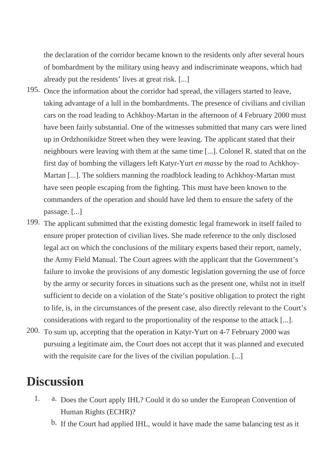the declaration of the corridor became known to the residents only after several hours of bombardment by the military using heavy and indiscriminate weapons, which had already put the residents' lives at great risk. [...]

- 195. Once the information about the corridor had spread, the villagers started to leave, taking advantage of a lull in the bombardments. The presence of civilians and civilian cars on the road leading to Achkhoy-Martan in the afternoon of 4 February 2000 must have been fairly substantial. One of the witnesses submitted that many cars were lined up in Ordzhonikidze Street when they were leaving. The applicant stated that their neighbours were leaving with them at the same time [...]. Colonel R. stated that on the first day of bombing the villagers left Katyr-Yurt *en masse* by the road to Achkhoy-Martan [...]. The soldiers manning the roadblock leading to Achkhoy-Martan must have seen people escaping from the fighting. This must have been known to the commanders of the operation and should have led them to ensure the safety of the passage. [...]
- 199. The applicant submitted that the existing domestic legal framework in itself failed to ensure proper protection of civilian lives. She made reference to the only disclosed legal act on which the conclusions of the military experts based their report, namely, the Army Field Manual. The Court agrees with the applicant that the Government's failure to invoke the provisions of any domestic legislation governing the use of force by the army or security forces in situations such as the present one, whilst not in itself sufficient to decide on a violation of the State's positive obligation to protect the right to life, is, in the circumstances of the present case, also directly relevant to the Court's considerations with regard to the proportionality of the response to the attack [...].
- 200. To sum up, accepting that the operation in Katyr-Yurt on 4-7 February 2000 was pursuing a legitimate aim, the Court does not accept that it was planned and executed with the requisite care for the lives of the civilian population. [...]

## **Discussion**

- 1. a. Does the Court apply IHL? Could it do so under the European Convention of Human Rights (ECHR)?
	- b. If the Court had applied IHL, would it have made the same balancing test as it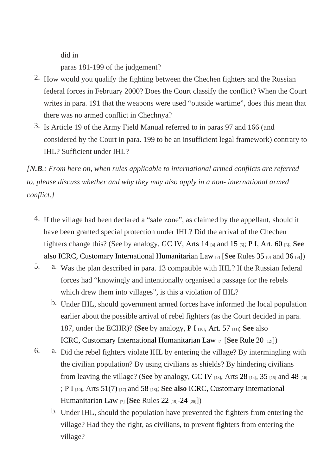did in paras 181-199 of the judgement?

- 2. How would you qualify the fighting between the Chechen fighters and the Russian federal forces in February 2000? Does the Court classify the conflict? When the Court writes in para. 191 that the weapons were used "outside wartime", does this mean that there was no armed conflict in Chechnya?
- 3. Is Article 19 of the Army Field Manual referred to in paras 97 and 166 (and considered by the Court in para. 199 to be an insufficient legal framework) contrary to IHL? Sufficient under IHL?

[N.B.: From here on, when rules applicable to international armed conflicts are referred to, please discuss whether and why they may also apply in a non- international armed conflict.]

- 4. If the village had been declared a "safe zone", as claimed by the appellant, should it have been granted special protection under IHL? Did the arrival of the Chechen fighters change this? (See by analog  $\mathbb{G}$  IV, Arts 14 $_{[4]}$  and [15](https://www.icrc.org/applic/ihl/ihl.nsf/Article.xsp?action=openDocument&documentId=3E13C5E778F6842BC12563CD0051BACB) $_{[5]}$ ; [P I, Art. 60](https://www.icrc.org/applic/ihl/ihl.nsf/Article.xsp?action=openDocument&documentId=1DA6804D318A5157C12563CD0051DE08) $_{[6]}$ ; See also[ICRC, Customary International Humanitarian L](https://casebook.icrc.org/case-study/icrc-customary-international-humanitarian-law)aw See Rule[s 35](https://ihl-databases.icrc.org/customary-ihl/eng/docs/v1_cha_chapter35) [8] an[d 36](https://ihl-databases.icrc.org/customary-ihl/eng/docs/v1_cha_chapter36) [9])
- 5. a. Was the plan described in para. 13 compatible with IHL? If the Russian federal forces had "knowingly and intentionally organised a passage for the rebels which drew them into villages", is this a violation of IHL?
	- b. Under IHL, should government armed forces have informed the local population earlier about the possible arrival of rebel fighters (as the Court decided in para. 187, under the ECHR) Séeby analogy P  $I_{[10]}$ , [Art. 57](https://ihl-databases.icrc.org/applic/ihl/ihl.nsf/Article.xsp?action=openDocument&documentId=50FB5579FB098FAAC12563CD0051DD7C) $_{[11]}$ ; Seealso [ICRC, Customary International Humanitarian L](https://casebook.icrc.org/case-study/icrc-customary-international-humanitarian-law)awSe[eRule 20](https://casebook.icrc.org/case-study/icrc-customary-international-humanitarian-law#rule_20)<sub>[12]</sub>)
- 6. a. Did the rebel fighters violate IHL by entering the village? By intermingling with the civilian population? By using civilians as shields? By hindering civilians from leaving the village? See by analogy GC IV  $_{[13]}$ , Arts [28](https://ihl-databases.icrc.org/applic/ihl/ihl.nsf/Article.xsp?action=openDocument&documentId=732D7EA50DF1A5ECC12563CD0051BBF0) $_{[14]}$ , [35](https://ihl-databases.icrc.org/applic/ihl/ihl.nsf/Article.xsp?action=openDocument&documentId=3ED6299567787851C12563CD0051BC67) $_{[15]}$  and [48](https://ihl-databases.icrc.org/applic/ihl/ihl.nsf/Article.xsp?action=openDocument&documentId=A9CC9555B17BBF7CC12563CD0051BDA0) $_{[16]}$ ; [P I](https://ihl-databases.icrc.org/applic/ihl/ihl.nsf/Treaty.xsp?documentId=D9E6B6264D7723C3C12563CD002D6CE4&action=openDocument) [10], Arts [51\(7\)](https://ihl-databases.icrc.org/applic/ihl/ihl.nsf/Article.xsp?action=openDocument&documentId=4BEBD9920AE0AEAEC12563CD0051DC9E)[17] and [58](https://ihl-databases.icrc.org/applic/ihl/ihl.nsf/Article.xsp?action=openDocument&documentId=C995BF5C5BCFB0E2C12563CD0051DDB2) [18]; See alsd CRC, Customary International [Humanitarian Law](https://casebook.icrc.org/case-study/icrc-customary-international-humanitarian-law)<sub>[7]</sub> [See Rules  $22$  [19][-24](https://casebook.icrc.org/case-study/icrc-customary-international-humanitarian-law#rule_24) [20]])
	- b. Under IHL, should the population have prevented the fighters from entering the village? Had they the right, as civilians, to prevent fighters from entering the village?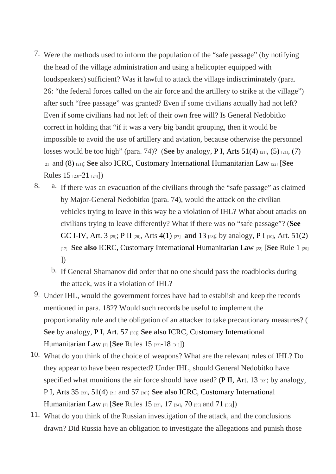- 7. Were the methods used to inform the population of the "safe passage" (by notifying the head of the village administration and using a helicopter equipped with loudspeakers) sufficient? Was it lawful to attack the village indiscriminately (para. 26: "the federal forces called on the air force and the artillery to strike at the village") after such "free passage" was granted? Even if some civilians actually had not left? Even if some civilians had not left of their own free will? Is General Nedobitko correct in holding that "if it was a very big bandit grouping, then it would be impossible to avoid the use of artillery and aviation, because otherwise the personnel losses would be too high" (para. 74) $\mathcal{S}$ e (by analogy P I, Arts 51(4) $_{211}$ , [\(5\)](https://www.icrc.org/applic/ihl/ihl.nsf/Article.xsp?action=openDocument&documentId=4BEBD9920AE0AEAEC12563CD0051DC9E)  $_{[211]}$ , [\(7\)](https://www.icrc.org/applic/ihl/ihl.nsf/Article.xsp?action=openDocument&documentId=4BEBD9920AE0AEAEC12563CD0051DC9E)  $_{[21]}$  and [\(8\)](https://www.icrc.org/applic/ihl/ihl.nsf/Article.xsp?action=openDocument&documentId=4BEBD9920AE0AEAEC12563CD0051DC9E)  $_{[21]}$ ; Seealso [ICRC, Customary International Humanitarian L](https://casebook.icrc.org/case-study/colombia-constitutional-conformity-protocol-ii)aw See  $Rules 15$  $Rules 15$ <sub>[23]</sub>[-21](https://casebook.icrc.org/case-study/icrc-customary-international-humanitarian-law#rule_21)<sub>[24]</sub>])
- 8. a. If there was an evacuation of the civilians through the "safe passage" as claimed by Major-General Nedobitko (para. 74), would the attack on the civilian vehicles trying to leave in this way be a violation of IHL? What about attacks on civilians trying to leave differently? What if there was no "safe passa[ge"?](https://ihl-databases.icrc.org/applic/ihl/ihl.nsf/ART/365-570006?OpenDocument)  $($ [GC I-IV, Art. 3](https://ihl-databases.icrc.org/applic/ihl/ihl.nsf/ART/365-570006?OpenDocument) [25]; [P II](https://ihl-databases.icrc.org/applic/ihl/ihl.nsf/Treaty.xsp?documentId=AA0C5BCBAB5C4A85C12563CD002D6D09&action=openDocument) [26], Arts [4\(1\)](https://ihl-databases.icrc.org/applic/ihl/ihl.nsf/Article.xsp?action=openDocument&documentId=F9CBD575D47CA6C8C12563CD0051E783) [27] and [13](https://ihl-databases.icrc.org/applic/ihl/ihl.nsf/Article.xsp?action=openDocument&documentId=A366465E238B1934C12563CD0051E8A0) [28]; by analogyP I [10], Art. [51\(2\)](https://ihl-databases.icrc.org/applic/ihl/ihl.nsf/Article.xsp?action=openDocument&documentId=4BEBD9920AE0AEAEC12563CD0051DC9E) [17] Seealso[ICRC, Customary International Humanitarian L](https://casebook.icrc.org/case-study/colombia-constitutional-conformity-protocol-ii)aw See Rule [1](https://casebook.icrc.org/case-study/icrc-customary-international-humanitarian-law#rule_1) [29] ])
	- b. If General Shamanov did order that no one should pass the roadblocks during the attack, was it a violation of IHL?
- 9. Under IHL, would the government forces have had to establish and keep the records mentioned in para. 182? Would such records be useful to implement the proportionality rule and the obligation of an attacker to take precautionary measures? ( Seeby analogyP I, Art. 57<sup>[30]</sup>; See alsdCRC, Customary International [Humanitarian Law](https://casebook.icrc.org/case-study/icrc-customary-international-humanitarian-law)<sub>1</sub> [See Rule[s 15](https://casebook.icrc.org/case-study/icrc-customary-international-humanitarian-law#rule_15) $_{[23]}$ [-18](https://casebook.icrc.org/case-study/icrc-customary-international-humanitarian-law#rule_18) $_{[31]}$ ])
- 10. What do you think of the choice of weapons? What are the relevant rules of IHL? Do they appear to have been respected? Under IHL, should General Nedobitko have specified what munitions the air force should have used? Art. 13 $_{[32]}$ ; by analogy, [P I, Arts 35](https://www.icrc.org/applic/ihl/ihl.nsf/Article.xsp?action=openDocument&documentId=0DF4B935977689E8C12563CD0051DAE4)[33], [51\(4\)](https://www.icrc.org/applic/ihl/ihl.nsf/Article.xsp?action=openDocument&documentId=4BEBD9920AE0AEAEC12563CD0051DC9E)[21] and [57](https://www.icrc.org/applic/ihl/ihl.nsf/Article.xsp?action=openDocument&documentId=50FB5579FB098FAAC12563CD0051DD7C) [30]; See als[oICRC, Customary Internationa](https://casebook.icrc.org/case-study/icrc-customary-international-humanitarian-law)l [Humanitarian Law](https://casebook.icrc.org/case-study/icrc-customary-international-humanitarian-law)<sub>1</sub> [See Rule[s 15](https://casebook.icrc.org/case-study/icrc-customary-international-humanitarian-law#rule_15)<sup>[23]</sup>, [17](https://casebook.icrc.org/case-study/icrc-customary-international-humanitarian-law#rule_17)<sup>[34]</sup>, [70](https://casebook.icrc.org/case-study/icrc-customary-international-humanitarian-law#rule_70)<sup>[35]</sup> an[d 71](https://casebook.icrc.org/case-study/icrc-customary-international-humanitarian-law#rule_71)<sup>[36]</sup>])
- 11. What do you think of the Russian investigation of the attack, and the conclusions drawn? Did Russia have an obligation to investigate the allegations and punish those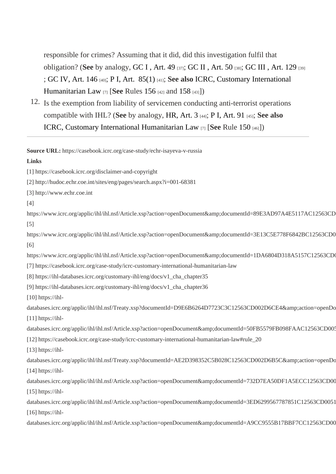responsible for crimes? Assuming that it did, did this investigation fulfil that obligation? Seeby analogy, GC I, Art. 49<sub>[37]</sub>; GC II, Art. 50<sub>[38]</sub>; GC III, Art. 129<sub>[39]</sub> ; [GC IV, Art. 146](https://www.icrc.org/applic/ihl/ihl.nsf/Article.xsp?action=openDocument&documentId=6F96EE4C7D1E72CAC12563CD0051C63A) $_{[40]}$ ; [P I, Art. 85\(1\)](https://www.icrc.org/applic/ihl/ihl.nsf/Article.xsp?action=openDocument&documentId=73D05A98B6CEB566C12563CD0051E1A0) $_{[41]}$ ; See alsdCRC, Customary International [Humanitarian Law](https://casebook.icrc.org/case-study/icrc-customary-international-humanitarian-law)<sub>7</sub> [See Rule[s 156](https://casebook.icrc.org/case-study/icrc-customary-international-humanitarian-law#rule_156) $_{[42]}$  and [158](https://casebook.icrc.org/case-study/icrc-customary-international-humanitarian-law#rule_158) $_{[43]}$ ])

12. Is the exemption from liability of servicemen conducting anti-terrorist operations compatible with IHL? Seeby analogy, HR, Art.  $3_{[44]}$ ; P I, Art.  $91_{[45]}$ ; See also [ICRC, Customary International Humanitarian L](https://casebook.icrc.org/case-study/icrc-customary-international-humanitarian-law)awSee Rule [150](https://casebook.icrc.org/case-study/icrc-customary-international-humanitarian-law#rule_150)[46]])

Source URL: https://casebook.icrc.org/case-study/echr-isayeva-v-russia

#### Links

[1] https://casebook.icrc.org/disclaimer-and-copyright

[2] http://hudoc.echr.coe.int/sites/eng/pages/search.aspx?i=001-68381

[3] http://www.echr.coe.int

#### [4]

https://www.icrc.org/applic/ihl/ihl.nsf/Article.xsp?action=openDocument&documentId=89E3AD97A4E5117AC12 [5]

https://www.icrc.org/applic/ihl/ihl.nsf/Article.xsp?action=openDocument&documentId=3E13C5E778F6842BC12 [6]

https://www.icrc.org/applic/ihl/ihl.nsf/Article.xsp?action=openDocument&documentId=1DA6804D318A5157C12

[7] https://casebook.icrc.org/case-study/icrc-customary-international-humanitarian-law

[8] https://ihl-databases.icrc.org/customary-ihl/eng/docs/v1\_cha\_chapter35

[9] https://ihl-databases.icrc.org/customary-ihl/eng/docs/v1\_cha\_chapter36

[10] https://ihl-

databases.icrc.org/applic/ihl/ihl.nsf/Treaty.xsp?documentId=D9E6B6264D7723C3C12563CD002D6CE4&action= [11] https://ihl-

databases.icrc.org/applic/ihl/ihl.nsf/Article.xsp?action=openDocument&documentId=50FB5579FB098FAAC125

[12] https://casebook.icrc.org/case-study/icrc-customary-international-humanitarian-law#rule\_20

[13] https://ihl-

databases.icrc.org/applic/ihl/ihl.nsf/Treaty.xsp?documentId=AE2D398352C5B028C12563CD002D6B5C&action [14] https://ihl-

databases.icrc.org/applic/ihl/ihl.nsf/Article.xsp?action=openDocument&documentId=732D7EA50DF1A5ECC12 [15] https://ihl-

databases.icrc.org/applic/ihl/ihl.nsf/Article.xsp?action=openDocument&documentId=3ED6299567787851C1256 [16] https://ihl-

databases.icrc.org/applic/ihl/ihl.nsf/Article.xsp?action=openDocument&documentId=A9CC9555B17BBF7CC12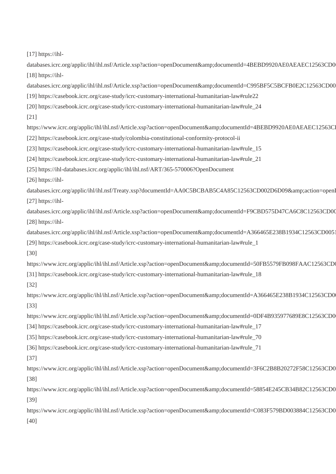[17] https://ihl-

databases.icrc.org/applic/ihl/ihl.nsf/Article.xsp?action=openDocument&documentId=4BEBD9920AE0AEAEC12563CD0 [18] https://ihl-

databases.icrc.org/applic/ihl/ihl.nsf/Article.xsp?action=openDocument&documentId=C995BF5C5BCFB0E2C12563CD00

[19] https://casebook.icrc.org/case-study/icrc-customary-international-humanitarian-law#rule22

[20] https://casebook.icrc.org/case-study/icrc-customary-international-humanitarian-law#rule\_24

[21]

https://www.icrc.org/applic/ihl/ihl.nsf/Article.xsp?action=openDocument&documentId=4BEBD9920AE0AEAEC12563C

[22] https://casebook.icrc.org/case-study/colombia-constitutional-conformity-protocol-ii

[23] https://casebook.icrc.org/case-study/icrc-customary-international-humanitarian-law#rule\_15

[24] https://casebook.icrc.org/case-study/icrc-customary-international-humanitarian-law#rule\_21

[25] https://ihl-databases.icrc.org/applic/ihl/ihl.nsf/ART/365-570006?OpenDocument

[26] https://ihl-

databases.icrc.org/applic/ihl/ihl.nsf/Treaty.xsp?documentId=AA0C5BCBAB5C4A85C12563CD002D6D09&action=openl [27] https://ihl-

databases.icrc.org/applic/ihl/ihl.nsf/Article.xsp?action=openDocument&documentId=F9CBD575D47CA6C8C12563CD00 [28] https://ihl-

databases.icrc.org/applic/ihl/ihl.nsf/Article.xsp?action=openDocument&documentId=A366465E238B1934C12563CD005

[29] https://casebook.icrc.org/case-study/icrc-customary-international-humanitarian-law#rule\_1

[30]

https://www.icrc.org/applic/ihl/ihl.nsf/Article.xsp?action=openDocument&documentId=50FB5579FB098FAAC12563CD

[31] https://casebook.icrc.org/case-study/icrc-customary-international-humanitarian-law#rule\_18

[32]

https://www.icrc.org/applic/ihl/ihl.nsf/Article.xsp?action=openDocument&documentId=A366465E238B1934C12563CD0 [33]

https://www.icrc.org/applic/ihl/ihl.nsf/Article.xsp?action=openDocument&documentId=0DF4B935977689E8C12563CD0

[34] https://casebook.icrc.org/case-study/icrc-customary-international-humanitarian-law#rule\_17

[35] https://casebook.icrc.org/case-study/icrc-customary-international-humanitarian-law#rule\_70

[36] https://casebook.icrc.org/case-study/icrc-customary-international-humanitarian-law#rule\_71

[37]

https://www.icrc.org/applic/ihl/ihl.nsf/Article.xsp?action=openDocument&documentId=3F6C2B8B20272F58C12563CD0 [38]

https://www.icrc.org/applic/ihl/ihl.nsf/Article.xsp?action=openDocument&documentId=58854E245CB34B82C12563CD0 [39]

https://www.icrc.org/applic/ihl/ihl.nsf/Article.xsp?action=openDocument&documentId=C083F579BD003884C12563CD0 [40]